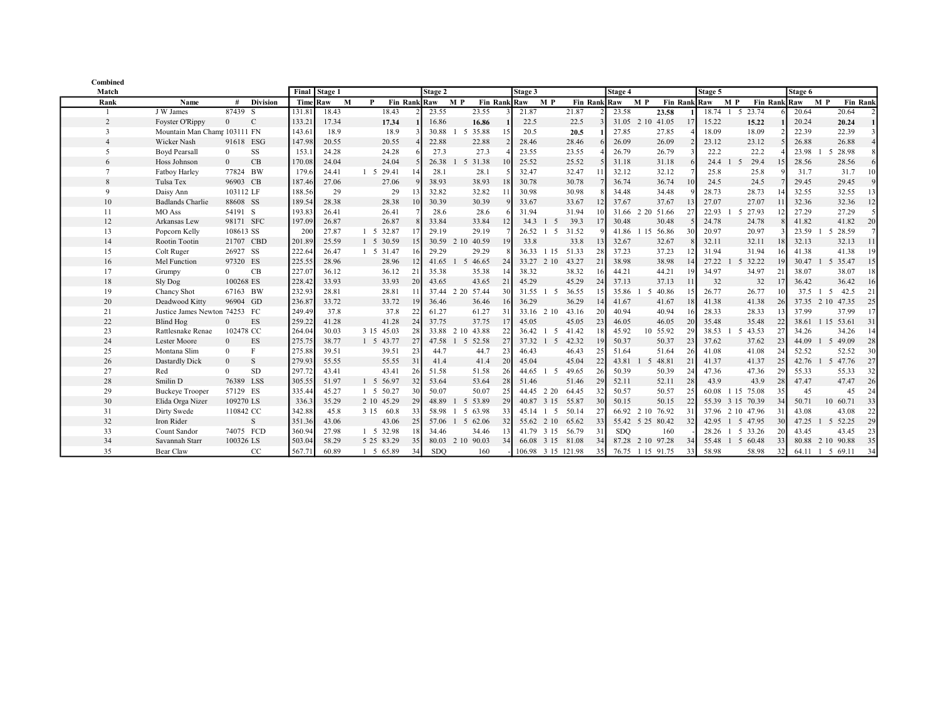| Combined       |                               |                |                 |          |         |            |              |            |                          |              |              |                         |                          |                 |            |                  |    |              |                  |              |         |                          |                 |
|----------------|-------------------------------|----------------|-----------------|----------|---------|------------|--------------|------------|--------------------------|--------------|--------------|-------------------------|--------------------------|-----------------|------------|------------------|----|--------------|------------------|--------------|---------|--------------------------|-----------------|
| Match          |                               |                |                 | Final    | Stage 1 |            |              | Stage 2    |                          |              |              | Stage 3                 |                          |                 | Stage 4    |                  |    | Stage 5      |                  |              | Stage 6 |                          |                 |
| Rank           | Name                          | #              | <b>Division</b> | Time Raw | M       | P          | Fin Rank Raw |            | M P                      | Fin Rank Raw |              | M P                     | Fin Ran                  |                 | klRaw      | M P              |    | Fin Rank Raw | M P              | Fin Rank Raw |         | M P                      | <b>Fin Rank</b> |
|                | J W James                     | 87439 S        |                 | 131.81   | 18.43   | 18.43      |              | 23.55      |                          | 23.55        |              | 21.87                   | 21.87                    |                 | 23.58      | 23.58            |    | 18.74        | -5               | 23.74        | 20.64   |                          | 20.64           |
| $\overline{2}$ | Foyster O'Rippy               | $\overline{0}$ | $\mathcal{C}$   | 133.21   | 17.34   | 17.34      |              | 16.86      |                          | 16.86        |              | 22.5                    | 22.5                     |                 | 31.05      | 41.05<br>2.10    | 17 | 15.22        |                  | 15.22        | 20.24   |                          | 20.24           |
| 3              | Mountain Man Champ 103111 FN  |                |                 | 143.61   | 18.9    | 18.9       |              | 30.88      | 5                        | 35.88        |              | 20.5                    | 20.5                     |                 | 27.85      | 27.85            |    | 18.09        |                  | 18.09        | 22.39   |                          | 22.39           |
|                | Wicker Nash                   | 91618 ESG      |                 | 147.98   | 20.55   | 20.55      |              | 22.88      |                          | 22.88        |              | 28.46                   | 28.46                    |                 | 26.09      | 26.09            |    | 23.12        |                  | 23.12        | 26.88   |                          | 26.88           |
| .5             | <b>Boyd Pearsall</b>          | $\Omega$       | SS              | 153.     | 24.28   | 24.28      |              | 27.3       |                          | 27.3         |              | 23.55                   | 23.55                    |                 | 26.79      | 26.79            |    | 22.2         |                  | 22.2         | 23.98   | 5                        | 28.98           |
| 6              | Hoss Johnson                  | $\Omega$       | CB              | 170.08   | 24.04   | 24.04      |              | 26.38      | $\overline{\phantom{0}}$ | 31.38        |              | 25.52                   | 25.52                    |                 | 31.18      | 31.18            |    | 24.4         | -5               | 29.4<br>15   | 28.56   |                          | 28.56           |
|                | Fatboy Harley                 | 77824 BW       |                 | 179.     | 24.41   | 1 5 29.41  | 14           | 28.1       |                          | 28.1         |              | 32.47                   | 32.47                    |                 | 32.12      | 32.12            |    | 25.8         |                  | 25.8         | 31.7    |                          | 31.7            |
| 8              | Tulsa Tex                     | 96903 CB       |                 | 187.46   | 27.06   | 27.06      |              | 38.93      |                          | 38.93        | 18           | 30.78                   | 30.78                    |                 | 36.74      | 36.74            | 10 | 24.5         |                  | 24.5         | 29.45   |                          | 29.45           |
| 9              | Daisy Ann                     | 103112 LF      |                 | 188.56   | 29      | 29         |              | 32.82      |                          | 32.82        | $\mathbf{1}$ | 30.98                   | 30.98                    |                 | 34.48      | 34.48            |    | 28.73        |                  | 28.73        | 32.55   |                          | 32.55           |
| 10             | <b>Badlands Charlie</b>       | 88608 SS       |                 | 189.54   | 28.38   | 28.38      | 10           | 30.39      |                          | 30.39        |              | 33.67                   | 33.67                    |                 | 37.67      | 37.67            | 13 | 27.07        |                  | 27.07<br>11  | 32.36   |                          | 32.36           |
| 11             | MO Ass                        | 54191 S        |                 | 193.83   | 26.41   | 26.41      |              | 28.6       |                          | 28.6         |              | 31.94                   | 31.94                    |                 | 31.66      | 51.66<br>2 2 0   | 27 | 22.93        | 5                | 27.93        | 27.29   |                          | 27.29           |
| 12             | Arkansas Lew                  | 98171 SFC      |                 | 197.09   | 26.87   | 26.87      |              | 33.84      |                          | 33.84        | 12           | 34.3<br>-1              | 39.3<br>- 5              |                 | 30.48      | 30.48            |    | 24.78        |                  | 24.78        | 41.82   |                          | 41.82<br>20     |
| 13             | Popcorn Kelly                 | 108613 SS      |                 | 20       | 27.87   | 1 5 32.87  |              | 29.19      |                          | 29.19        |              | 26.52                   | 31.52<br>$5\overline{5}$ |                 | 41.86      | 15 56.86         | 30 | 20.97        |                  | 20.97        | 23.59   | $\overline{\phantom{1}}$ | 28.59           |
| 14             | Rootin Tootin                 | 21707 CBD      |                 | 201.89   | 25.59   | 1 5 30.59  | 15           | 30.59      | 2 10                     | 40.59        | 19           | 33.8                    | 33.8                     |                 | 32.67      | 32.67            |    | 32.11        |                  | 32.11<br>18  | 32.13   |                          | 32.13           |
| 15             | Colt Ruger                    | 26927 SS       |                 | 222.64   | 26.47   | 1 5 31.47  | 16           | 29.29      |                          | 29.29        |              | 36.33<br>1 1 5          | 51.33                    | 28              | 37.23      | 37.23            | 12 | 31.94        |                  | 31.94<br>16  | 41.38   |                          | 41.38<br>19     |
| 16             | Mel Function                  | 97320 ES       |                 | 225.55   | 28.96   | 28.96      | 12           | 41.65      | -5                       | 46.65        | 24           | 33.27 2 10              | 43.27                    | 21              | 38.98      | 38.98            | 14 | 27.22        | 5 <sup>5</sup>   | 32.22<br>19  | 30.47   | -5                       | 35.47<br>15     |
| 17             | Grumpy                        | $\Omega$       | CB              | 227.07   | 36.12   | 36.12      | 21           | 35.38      |                          | 35.38        | 14           | 38.32                   | 38.32                    | 16              | 44.21      | 44.21            | 19 | 34.97        |                  | 34.97<br>21  | 38.07   |                          | 38.07<br>18     |
| 18             | Sly Dog                       | 100268 ES      |                 | 228.42   | 33.93   | 33.93      | 20           | 43.65      |                          | 43.65        | 21           | 45.29                   | 45.29                    | 24              | 37.13      | 37.13            | 11 | 32           |                  | 32<br>17     | 36.42   |                          | 36.42<br>16     |
| 19             | Chancy Shot                   | 67163 BW       |                 | 232.93   | 28.81   | 28.81      | 11           |            | 37.44 2 20               | 57.44        | 30           | 31.55 1                 | 36.55<br>-5              | 15I             | 35.86      | 40.86<br>5       | 15 | 26.77        |                  | 26.77<br>10  | 37.5    | -5                       | 42.5<br>21      |
| 20             | Deadwood Kitty                | 96904 GD       |                 | 236.87   | 33.72   | 33.72      | 19           | 36.46      |                          | 36.46        | 16           | 36.29                   | 36.29                    | 14              | 41.67      | 41.67            | 18 | 41.38        |                  | 41.38<br>26  |         | 37.35 2 10 47.35         | 25              |
| 21             | Justice James Newton 74253 FC |                |                 | 249.49   | 37.8    | 37.8       | 22           | 61.27      |                          | 61.27        | 31           | 33.16 2 10              | 43.16                    | 20              | 40.94      | 40.94            | 16 | 28.33        |                  | 28.33<br>13  | 37.99   |                          | 37.99           |
| 22             | Blind Hog                     | $\Omega$       | ES              | 259.22   | 41.28   | 41.28      | 24           | 37.75      |                          | 37.75        | 17           | 45.05                   | 45.05                    | 23              | 46.05      | 46.05            | 20 | 35.48        |                  | 35.48<br>22  | 38.61   | 1 15 53.61               | 31              |
| 23             | Rattlesnake Renae             | 102478 CC      |                 | 264.04   | 30.03   | 3 15 45.03 | 28           | 33.88      | 2 10                     | 43.88        | 22           | 36.42                   | 41.42<br>5               |                 | 45.92      | 10 55.92         | 29 | 38.53        | 5                | 43.53<br>27  | 34.26   |                          | 34.26<br>14     |
| 24             | Lester Moore                  | $\Omega$       | ES              | 275.75   | 38.77   | 1 5 43.77  | 27           | 47.58      | $1\quad5$                | 52.58        | 27           | 37.32 1                 | 42.32<br>- 5             |                 | 50.37      | 50.37            | 23 | 37.62        |                  | 37.62<br>23  | 44.09   | 5 49.09                  | 28              |
| 25             | Montana Slim                  | $\mathbf{0}$   | F               | 275.88   | 39.51   | 39.51      | 23           | 44.7       |                          | 44.7         | 23           | 46.43                   | 46.43                    | 25              | 51.64      | 51.64            | 26 | 41.08        |                  | 41.08<br>24  | 52.52   |                          | 52.52<br>30     |
| 26             | Dastardly Dick                | $\theta$       | S               | 279.93   | 55.55   | 55.55      | 31           | 41.4       |                          | 41.4         | 20           | 45.04                   | 45.04                    | 22              | 43.81      | 5 48.81          | 21 | 41.37        |                  | 41.37<br>25  | 42.76   | -5                       | 47.76<br>27     |
| 27             | Red                           | $\theta$       | <b>SD</b>       | 297.72   | 43.41   | 43.41      | 26           | 51.58      |                          | 51.58        | 26           | 44.65                   | 49.65<br>$\sim$          | 26              | 50.39      | 50.39            | 24 | 47.36        |                  | 47.36<br>29  | 55.33   |                          | 55.33<br>32     |
| 28             | Smilin D                      | 76389 LSS      |                 | 305.55   | 51.97   | 1 5 56.97  | 32           | 53.64      |                          | 53.64        | 28           | 51.46                   | 51.46                    | 29              | 52.11      | 52.11            | 28 | 43.9         |                  | 43.9<br>28   | 47.47   |                          | 47.47<br>26     |
| 29             | <b>Buckeye Trooper</b>        | 57129 ES       |                 | 335.44   | 45.27   | 1 5 50.27  | 30           | 50.07      |                          | 50.07        | 25           | 44.45 2 20              | 64.45                    |                 | 50.57      | 50.57            | 25 | 60.08        | 1 15 75.08       | 35           | 45      |                          | 45<br>24        |
| 30             | Elida Orga Nizer              | 109270 LS      |                 | 336.3    | 35.29   | 2 10 45.29 | 29           | 48.89      |                          | 5 53.89      | 29           | 40.87 3 15              | 55.87                    | 30              | 50.15      | 50.15            | 22 |              | 55.39 3 15 70.39 | 34           | 50.71   | 10 60.71                 | 33              |
| 31             | Dirty Swede                   | 110842 CC      |                 | 342.88   | 45.8    | 3 15 60.8  | 33           | 58.98      | -5                       | 63.98        | 33           | 45.14<br>$\overline{1}$ | 5<br>50.14               |                 | 66.92      | 2 10 76.92       | 31 |              | 37.96 2 10 47.96 | 31           | 43.08   |                          | 43.08<br>22     |
| 32             | Iron Rider                    |                | S               | 351.36   | 43.06   | 43.06      | 25           |            | 57.06 1 5                | 62.06        | 32           | 55.62 2 10              | 65.62                    | 33              |            | 55.42 5 25 80.42 | 32 | 42.95        | 1 5 47.95        | 30           | 47.25   | 5 52.25                  | 29              |
| 33             | Count Sandor                  | 74075 FCD      |                 | 360.94   | 27.98   | 1 5 32.98  | 18           | 34.46      |                          | 34.46        | 13           | 41.79 3 15              | 56.79                    | 31              | <b>SDO</b> | 160              |    | 28.26        | 1 5 33.26        | 20           | 43.45   |                          | 43.45<br>23     |
| 34             | Savannah Starr                | 100326 LS      |                 | 503.04   | 58.29   | 5 25 83.29 | 35           |            | 80.03 2 10               | 90.03        | 34           | 66.08 3 15 81.08        |                          |                 |            | 87.28 2 10 97.28 | 34 |              | 55.48 1 5 60.48  | 33           |         | 80.88 2 10 90.88         | 35              |
| 35             | Bear Claw                     |                | CC              | 567.71   | 60.89   | 1 5 65.89  | 34           | <b>SDO</b> |                          | 160          |              | 106.98 3 15 121.98      |                          | 35 <sup>1</sup> |            | 76.75 1 15 91.75 | 33 | 58.98        |                  | 58.98<br>32  | 64.11   | 1 5 69.11                | 34              |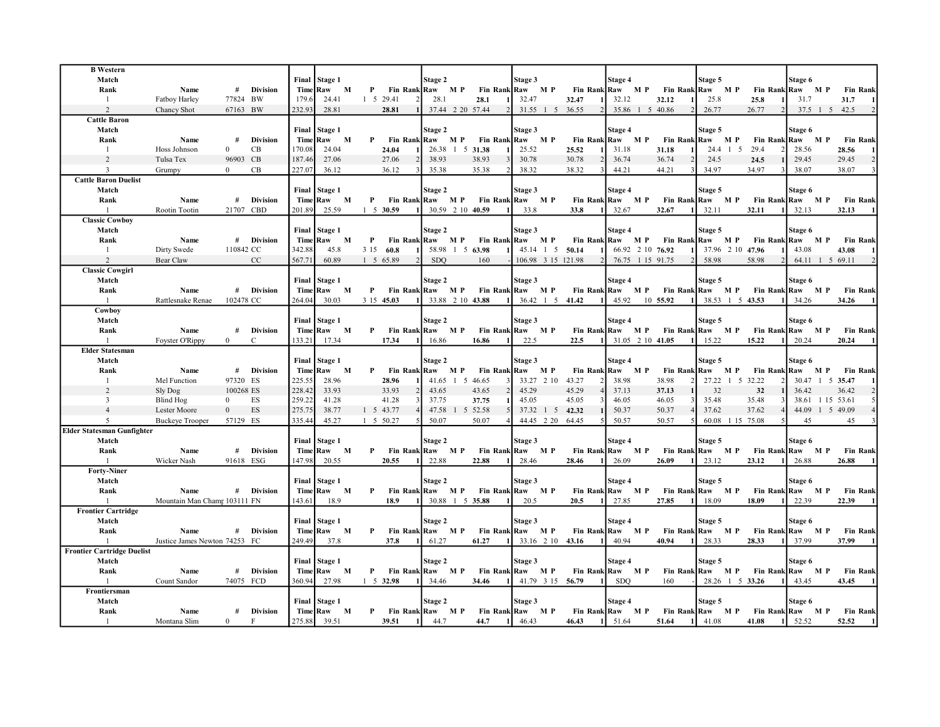| <b>B</b> Western<br>Match<br>Rank | Name                          | #              | <b>Division</b> |          | Final Stage 1<br>Time Raw M |              | P         | Fin Rank Raw M P        | Stage 2      | Fin Rank Raw M P                  | Stage 3 |           | Fin Rank Raw M P Fin Rank Raw M P | Stage 4    |                  |                  | Stage 5          |          |                  | Stage 6<br>Fin Rank Raw M P                        | <b>Fin Rank</b>     |
|-----------------------------------|-------------------------------|----------------|-----------------|----------|-----------------------------|--------------|-----------|-------------------------|--------------|-----------------------------------|---------|-----------|-----------------------------------|------------|------------------|------------------|------------------|----------|------------------|----------------------------------------------------|---------------------|
| $\frac{1}{2}$                     | Fatboy Harley                 | 77824 BW       |                 | 179.6    | 24.41                       |              | 1 5 29.41 |                         | 28.1         | 28.1                              | 32.47   |           | 32.47                             | 32.12      |                  | 32.12            | 25.8             |          | 25.8             | 31.7                                               | 31.7                |
| 2                                 | Chancy Shot                   | 67163 BW       |                 | 232.93   | 28.81                       |              |           | 28.81                   |              | 37.44 2 20 57.44                  |         |           | 31.55 1 5 36.55                   |            | 35.86 1 5 40.86  |                  | 26.77            |          | 26.77            | 37.5 1 5 42.5                                      |                     |
| <b>Cattle Baron</b>               |                               |                |                 |          |                             |              |           |                         |              |                                   |         |           |                                   |            |                  |                  |                  |          |                  |                                                    |                     |
| Match                             |                               |                |                 |          | Final Stage 1               |              |           |                         | Stage 2      |                                   | Stage 3 |           |                                   | Stage 4    |                  |                  | Stage 5          |          |                  | Stage 6                                            |                     |
| Rank                              | Name                          | #              | Division        |          | Time Raw M                  |              | P         | Fin Rank Raw M P        |              | Fin Rank Raw M P                  |         |           | Fin Rank Raw M P                  |            |                  |                  | Fin Rank Raw M P |          |                  | Fin Rank Raw M P                                   | <b>Fin Rank</b>     |
| $\overline{1}$                    | Hoss Johnson                  | $\overline{0}$ | CB              | 170.08   | 24.04                       |              |           | 24.04                   |              | 26.38 1 5 31.38                   | 25.52   |           | 25.52                             | 31.18      |                  | 31.18            |                  | 24.4 1 5 | 29.4             | 28.56                                              | 28.56               |
| 2                                 | Tulsa Tex                     | 96903 CB       |                 | 187.46   | 27.06                       |              |           | 27.06                   | 38.93        | 38.93                             | 30.78   |           | 30.78                             | 36.74      |                  | 36.74            | 24.5             |          | 24.5             | 29.45                                              | $\sqrt{2}$<br>29.45 |
| $\overline{3}$                    | Grumpy                        | $\Omega$       | CB              | 227.07   | 36.12                       |              |           | 36.12                   | 35.38        | 35.38                             | 38.32   |           | 38.32                             | 44.21      |                  | 44.21            | 34.97            |          | 34.97            | 38.07                                              | 38.07               |
| <b>Cattle Baron Duelist</b>       |                               |                |                 |          |                             |              |           |                         |              |                                   |         |           |                                   |            |                  |                  |                  |          |                  |                                                    |                     |
| Match                             |                               |                |                 |          | Final Stage 1               |              |           |                         | Stage 2      |                                   | Stage 3 |           |                                   | Stage 4    |                  |                  | Stage 5          |          |                  | Stage 6                                            |                     |
| Rank                              | Name                          | #              | Division        |          | Time Raw                    | M            | P         | Fin Rank Raw M P        |              | Fin Rank Raw M P                  |         |           | Fin Rank Raw M P                  |            |                  | Fin Rank Raw M P |                  |          |                  | Fin Rank Raw M P                                   | <b>Fin Rank</b>     |
| $\overline{1}$                    | Rootin Tootin                 | 21707 CBD      |                 | 201.89   | 25.59                       |              |           | $1 \quad 5 \quad 30.59$ |              | 30.59 2 10 40.59                  | 33.8    |           | 33.8                              | 32.67      |                  | 32.67            | 32.11            |          | 32.11            | 32.13                                              | 32.13               |
| <b>Classic Cowboy</b>             |                               |                |                 |          |                             |              |           |                         |              |                                   |         |           |                                   |            |                  |                  |                  |          |                  |                                                    |                     |
| Match                             |                               |                |                 |          | Final Stage 1               |              |           |                         | Stage 2      |                                   | Stage 3 |           |                                   | Stage 4    |                  |                  | Stage 5          |          |                  | Stage 6                                            |                     |
| Rank                              | Name                          |                | # Division      |          | Time Raw M                  |              | P         | Fin Rank Raw M P        |              | Fin Rank Raw M P                  |         |           |                                   |            |                  |                  |                  |          |                  | Fin Rank Raw M P Fin Rank Raw M P Fin Rank Raw M P | <b>Fin Rank</b>     |
| $\overline{1}$                    | Dirty Swede                   | 110842 CC      |                 | 342.88   | 45.8                        |              | 3 1 5     | 60.8                    |              | 58.98 1 5 63.98                   |         |           | 45.14 1 5 50.14                   |            | 66.92 2 10 76.92 |                  |                  |          | 37.96 2 10 47.96 | 43.08                                              | 43.08               |
| $\overline{2}$                    | Bear Claw                     |                | CC              | 567.71   | 60.89                       |              |           | 1 5 65.89               | <b>SDO</b>   | 160                               |         |           | 106.98 3 15 121.98                |            | 76.75 1 15 91.75 |                  | 58.98            |          | 58.98            | 64.11 1 5 69.11                                    |                     |
| <b>Classic Cowgirl</b>            |                               |                |                 |          |                             |              |           |                         |              |                                   |         |           |                                   |            |                  |                  |                  |          |                  |                                                    |                     |
| Match                             |                               |                |                 |          | Final Stage 1               |              |           |                         | Stage 2      |                                   | Stage 3 |           |                                   | Stage 4    |                  |                  | Stage 5          |          |                  | Stage 6                                            |                     |
| Rank                              | Name                          |                | # Division      |          | TimelRaw                    | $\mathbf{M}$ | P         | Fin Rank Raw M P        |              | Fin Rank Raw M P                  |         |           | Fin Rank Raw M P                  |            |                  | Fin Rank Raw M P |                  |          |                  | Fin Rank Raw M P Fin Rank                          |                     |
| $\overline{1}$                    | Rattlesnake Renae             | 102478 CC      |                 | 264.04   | 30.03                       |              |           | 3 15 45.03              |              | 33.88 2 10 43.88                  |         |           | 36.42 1 5 41.42                   | 45.92      |                  | 10 55.92         |                  |          | 38.53 1 5 43.53  | 34.26                                              | 34.26               |
| Cowboy                            |                               |                |                 |          |                             |              |           |                         |              |                                   |         |           |                                   |            |                  |                  |                  |          |                  |                                                    |                     |
| Match                             |                               |                |                 |          | Final Stage 1               |              |           |                         | Stage 2      |                                   | Stage 3 |           |                                   | Stage 4    |                  |                  | Stage 5          |          |                  | Stage 6                                            |                     |
| Rank                              | Name                          |                | # Division      |          | Time Raw M                  |              |           | P Fin Rank Raw M P      |              | Fin Rank Raw M P                  |         |           |                                   |            |                  |                  |                  |          |                  | Fin Rank Raw M P Fin Rank Raw M P Fin Rank Raw M P | <b>Fin Rank</b>     |
| $\mathbf{1}$                      | Foyster O'Rippy               | $\Omega$       | $\mathcal{C}$   | 133.21   | 17.34                       |              |           | 17.34                   | 16.86        | 16.86                             | 22.5    |           | 22.5                              |            | 31.05 2 10 41.05 |                  | 15.22            |          | 15.22            | 20.24                                              | 20.24               |
| <b>Elder Statesman</b>            |                               |                |                 |          |                             |              |           |                         |              |                                   |         |           |                                   |            |                  |                  |                  |          |                  |                                                    |                     |
| Match                             |                               |                |                 |          | Final Stage 1               |              |           |                         | Stage 2      |                                   | Stage 3 |           |                                   | Stage 4    |                  |                  | Stage 5          |          |                  | Stage 6                                            |                     |
| Rank                              | Name                          |                | # Division      | Time Raw |                             | M            | P         | Fin Rank Raw M P        |              | Fin Rank Raw M P                  |         |           | Fin Rank Raw                      |            | M P              | Fin Rank Raw     |                  | M P      | Fin Rank Raw     | M P                                                | <b>Fin Rank</b>     |
| -1                                | Mel Function                  | 97320 ES       |                 | 225.55   | 28.96                       |              |           | 28.96                   |              | 41.65 1 5 46.65                   |         |           | 33.27 2 10 43.27                  | 38.98      |                  | 38.98            |                  |          | 27.22 1 5 32.22  | 30.47 1 5 35.47                                    |                     |
| 2                                 | Sly Dog                       | 100268 ES      |                 | 228.42   | 33.93                       |              |           | 33.93                   | 43.65        | 43.65                             | 45.29   |           | 45.29                             | 37.13      |                  | 37.13            | 32               |          | 32               | 36.42                                              | 36.42               |
| $\overline{\mathbf{3}}$           | Blind Hog                     | $\bf{0}$       | ES              | 259.22   | 41.28                       |              |           | 41.28                   | 37.75        | 37.75                             | 45.05   |           | 45.05                             | 46.05      |                  | 46.05            | 35.48            |          | 35.48            | 38.61 1 15 53.61                                   |                     |
| $\overline{4}$                    | Lester Moore                  | $\mathbf{0}$   | ES              | 275.75   | 38.77                       |              |           | 1 5 43.77               |              | 47.58 1 5 52.58                   |         | 37.32 1 5 | 42.32                             | 50.37      |                  | 50.37            | 37.62            |          | 37.62            | 44.09 1 5 49.09                                    |                     |
| 5                                 | Buckeye Trooper               | 57129 ES       |                 | 335.44   | 45.27                       |              |           | 1 5 50.27               | 50.07        | 50.07                             |         |           | 44.45 2 20 64.45                  | 50.57      |                  | 50.57            |                  |          | 60.08 1 15 75.08 | 45                                                 | 45                  |
| <b>Elder Statesman Gunfighter</b> |                               |                |                 |          |                             |              |           |                         |              |                                   |         |           |                                   |            |                  |                  |                  |          |                  |                                                    |                     |
| Match                             |                               |                |                 |          | Final Stage 1               |              |           |                         | Stage 2      |                                   | Stage 3 |           |                                   | Stage 4    |                  |                  | Stage 5          |          |                  | Stage 6                                            |                     |
| Rank                              | Name                          |                | # Division      |          | Time Raw M                  |              |           | P Fin Rank Raw M P      |              | Fin Rank Raw M P                  |         |           |                                   |            |                  |                  |                  |          |                  | Fin Rank Raw M P Fin Rank Raw M P Fin Rank Raw M P | <b>Fin Rank</b>     |
| $\mathbf{1}$                      | Wicker Nash                   | 91618 ESG      |                 | 147.98   | 20.55                       |              |           | 20.55                   | 22.88        | 22.88                             | 28.46   |           | 28.46                             | 26.09      |                  | 26.09            | 23.12            |          | 23.12            | 26.88                                              | 26.88               |
| <b>Forty-Niner</b>                |                               |                |                 |          |                             |              |           |                         |              |                                   |         |           |                                   |            |                  |                  |                  |          |                  |                                                    |                     |
| Match                             |                               |                |                 | Final    | Stage 1                     |              |           |                         | Stage 2      |                                   | Stage 3 |           |                                   | Stage 4    |                  |                  | Stage 5          |          |                  | Stage 6                                            |                     |
| Rank                              | Name                          |                | # Division      |          | Time Raw M                  |              | P         | Fin Rank Raw M P        |              | Fin Rank Raw M P                  |         |           | Fin Rank Raw M P                  |            |                  |                  | Fin Rank Raw M P |          | Fin Rank Raw     | M P                                                | <b>Fin Rank</b>     |
| $\mathbf{1}$                      | Mountain Man Champ 103111 FN  |                |                 | 143.61   | 18.9                        |              |           | 18.9                    |              | 30.88 1 5 35.88                   | 20.5    |           | 20.5                              | 27.85      |                  | 27.85            | 18.09            |          | 18.09            | 22.39                                              | 22.39               |
| <b>Frontier Cartridge</b>         |                               |                |                 |          |                             |              |           |                         |              |                                   |         |           |                                   |            |                  |                  |                  |          |                  |                                                    |                     |
| Match                             |                               |                |                 |          | Final Stage 1               |              |           |                         | Stage 2      |                                   | Stage 3 |           |                                   | Stage 4    |                  |                  | Stage 5          |          |                  | Stage 6                                            |                     |
| Rank                              | Name                          |                | # Division      |          | TimelRaw                    | M            | P         | Fin Rank Raw M P        |              | Fin Rank Raw M P                  |         |           | Fin Rank Raw M P                  |            |                  | Fin Rank Raw M P |                  |          |                  | Fin Rank Raw M P                                   | <b>Fin Rank</b>     |
| $\overline{1}$                    | Justice James Newton 74253 FC |                |                 | 249.49   | 37.8                        |              |           | 37.8                    | 61.27        | 61.27                             |         |           | 33.16 2 10 43.16                  | 40.94      |                  | 40.94            | 28.33            |          | 28.33            | 37.99                                              | 37.99               |
| <b>Frontier Cartridge Duelist</b> |                               |                |                 |          |                             |              |           |                         |              |                                   |         |           |                                   |            |                  |                  |                  |          |                  |                                                    |                     |
| Match                             |                               |                |                 |          | Final Stage 1               |              |           |                         | Stage 2      |                                   | Stage 3 |           |                                   | Stage 4    |                  |                  | Stage 5          |          |                  | Stage 6                                            |                     |
| Rank                              | Name                          |                | # Division      |          | Time Raw M                  |              | P         |                         |              | Fin Rank Raw M P Fin Rank Raw M P |         |           | Fin Rank Raw M P                  |            |                  | Fin Rank Raw M P |                  |          |                  | Fin Rank Raw M P                                   | <b>Fin Rank</b>     |
| $\mathbf{1}$                      | Count Sandor                  | 74075 FCD      |                 | 360.94   | 27.98                       |              |           | 1 5 32.98               | 34.46        | 34.46                             |         |           | 41.79 3 15 56.79                  | <b>SDO</b> |                  | 160              |                  |          | 28.26 1 5 33.26  | 43.45                                              | 43.45               |
| Frontiersman                      |                               |                |                 |          |                             |              |           |                         |              |                                   |         |           |                                   |            |                  |                  |                  |          |                  |                                                    |                     |
| Match                             |                               |                |                 | Final    | Stage 1                     |              |           |                         | Stage 2      |                                   | Stage 3 |           |                                   | Stage 4    |                  |                  | Stage 5          |          |                  | Stage 6                                            |                     |
| Rank                              | Name                          | #              | <b>Division</b> |          | Time Raw M                  |              |           | P Fin Rank Raw M P      |              | Fin Rank Raw M P                  |         |           |                                   |            |                  |                  |                  |          |                  | Fin Rank Raw M P Fin Rank Raw M P Fin Rank Raw M P | <b>Fin Rank</b>     |
| $\overline{1}$                    | Montana Slim                  | $\overline{0}$ | F               | 275.88   | 39.51                       |              |           | 39.51                   | $11 \t 44.7$ | 44.7 1 46.43                      |         |           | 46.43                             | 1 51.64    |                  | 51.64            | $1 \quad 41.08$  |          | 41.08            | 1 52.52                                            | 52.52               |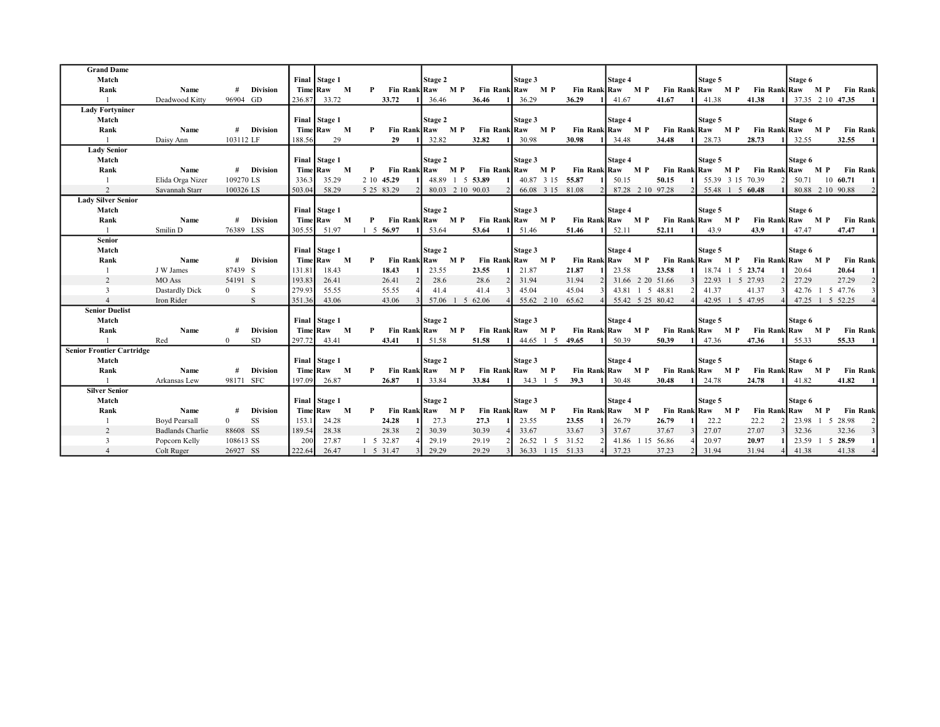| <b>Grand Dame</b>                |                         |                |                 |        |               |              |            |                  |                 |                  |                  |         |                  |                  |         |     |                     |                  |          |                 |
|----------------------------------|-------------------------|----------------|-----------------|--------|---------------|--------------|------------|------------------|-----------------|------------------|------------------|---------|------------------|------------------|---------|-----|---------------------|------------------|----------|-----------------|
| Match                            |                         |                |                 |        | Final Stage 1 |              |            | Stage 2          |                 | Stage 3          |                  | Stage 4 |                  |                  | Stage 5 |     |                     | Stage 6          |          |                 |
| Rank                             | Name                    | #              | <b>Division</b> |        | Time Raw M    | P            |            | Fin Rank Raw M P |                 | Fin Rank Raw M P | Fin Rank Raw M P |         |                  | Fin Rank Raw M P |         |     |                     | Fin Rank Raw M P |          | <b>Fin Rank</b> |
|                                  | Deadwood Kitty          | 96904 GD       |                 | 236.87 | 33.72         |              | 33.72      | 36.46            | 36.46           | 36.29            | 36.29            | 41.67   |                  | 41.67            | 41.38   |     | 41.38               | 37.35 2 10 47.35 |          |                 |
| <b>Lady Fortyniner</b>           |                         |                |                 |        |               |              |            |                  |                 |                  |                  |         |                  |                  |         |     |                     |                  |          |                 |
| Match                            |                         |                |                 |        | Final Stage 1 |              |            | Stage 2          |                 | Stage 3          |                  | Stage 4 |                  |                  | Stage 5 |     |                     | Stage 6          |          |                 |
| Rank                             | Name                    |                | # Division      |        | Time Raw M    | $\mathbf{P}$ |            | Fin Rank Raw M P |                 | Fin Rank Raw M P | Fin Rank Raw M P |         |                  | Fin Rank Raw M P |         |     |                     | Fin Rank Raw M P |          | <b>Fin Rank</b> |
|                                  | Daisy Ann               | 103112 LF      |                 | 188.56 | 29            |              | 29         | 32.82            | 32.82           | 30.98            | 30.98            | 34.48   |                  | 34.48            | 28.73   |     | 28.73               | 32.55            |          | 32.55           |
| <b>Lady Senior</b>               |                         |                |                 |        |               |              |            |                  |                 |                  |                  |         |                  |                  |         |     |                     |                  |          |                 |
| Match                            |                         |                |                 |        | Final Stage 1 |              |            | Stage 2          |                 | Stage 3          |                  | Stage 4 |                  |                  | Stage 5 |     |                     | Stage 6          |          |                 |
| Rank                             | Name                    |                | # Division      |        | Time Raw M    | P            |            | Fin Rank Raw M P |                 | Fin Rank Raw M P | Fin Rank Raw M P |         |                  | Fin Rank Raw M P |         |     |                     | Fin Rank Raw M P |          | <b>Fin Rank</b> |
| -1                               | Elida Orga Nizer        | 109270 LS      |                 | 336.3  | 35.29         |              | 2 10 45.29 |                  | 48.89 1 5 53.89 |                  | 40.87 3 15 55.87 | 50.15   |                  | 50.15            |         |     | 55.39 3 15 70.39    | 50.71            | 10 60.71 |                 |
| 2                                | Savannah Starr          | 100326 LS      |                 | 503.04 | 58.29         |              | 5 25 83.29 | 80.03 2 10 90.03 |                 |                  | 66.08 3 15 81.08 |         | 87.28 2 10 97.28 |                  |         |     | 55.48 1 5 60.48     | 80.88 2 10 90.88 |          |                 |
| <b>Lady Silver Senior</b>        |                         |                |                 |        |               |              |            |                  |                 |                  |                  |         |                  |                  |         |     |                     |                  |          |                 |
| Match                            |                         |                |                 |        | Final Stage 1 |              |            | Stage 2          |                 | Stage 3          |                  | Stage 4 |                  |                  | Stage 5 |     |                     | Stage 6          |          |                 |
| Rank                             | Name                    | #              | <b>Division</b> |        | Time Raw M    | $\mathbf{P}$ |            | Fin Rank Raw M P |                 | Fin Rank Raw M P | Fin Rank Raw M P |         |                  | Fin Rank Raw M P |         |     |                     | Fin Rank Raw M P |          | <b>Fin Rank</b> |
|                                  | Smilin D                | 76389 LSS      |                 | 305.55 | 51.97         |              | 1 5 5 6.97 | 53.64            | 53.64           | 51.46            | 51.46            | 52.11   |                  | 52.11            | 43.9    |     | 43.9                | 47.47            |          | 47.47           |
| <b>Senior</b>                    |                         |                |                 |        |               |              |            |                  |                 |                  |                  |         |                  |                  |         |     |                     |                  |          |                 |
| Match                            |                         |                |                 |        | Final Stage 1 |              |            | Stage 2          |                 | Stage 3          |                  | Stage 4 |                  |                  | Stage 5 |     |                     | Stage 6          |          |                 |
| Rank                             | Name                    | #              | <b>Division</b> |        | Time Raw M    | P            |            | Fin Rank Raw M P |                 | Fin Rank Raw M P | Fin Rank Raw M P |         |                  | Fin Rank Raw M P |         |     |                     | Fin Rank Raw M P |          | <b>Fin Rank</b> |
|                                  | J W James               | 87439 S        |                 | 131.81 | 18.43         |              | 18.43      | 23.55            | 23.55           | 21.87            | 21.87            | 23.58   |                  | 23.58            |         |     | 18.74 1 5 23.74     | 20.64            |          | 20.64           |
| 2                                | MO Ass                  | 54191 S        |                 | 193.83 | 26.41         |              | 26.41      | 28.6             | 28.6            | 31.94            | 31.94            |         | 31.66 2 20 51.66 |                  |         |     | 22.93 1 5 27.93     | 27.29            |          | 27.29           |
| $\overline{3}$                   | Dastardly Dick          | $\overline{0}$ | -S              | 279.93 | 55.55         |              | 55.55      | 41.4             | 41.4            | 45.04            | 45.04            |         | 43.81 1 5 48.81  |                  | 41.37   |     | 41.37               | 42.76 1          |          | 5 47.76         |
| $\overline{4}$                   | Iron Rider              |                | S               | 351.36 | 43.06         |              | 43.06      | 57.06 1 5        | 62.06           | 55.62 2 10       | 65.62            |         | 55.42 5 25 80.42 |                  |         |     | 42.95 1 5 47.95     | 47.25            | -1       | 5 52.25         |
| <b>Senior Duelist</b>            |                         |                |                 |        |               |              |            |                  |                 |                  |                  |         |                  |                  |         |     |                     |                  |          |                 |
| Match                            |                         |                |                 |        | Final Stage 1 |              |            | Stage 2          |                 | Stage 3          |                  | Stage 4 |                  |                  | Stage 5 |     |                     | Stage 6          |          |                 |
| Rank                             | Name                    | #              | <b>Division</b> |        | Time Raw M    | P            |            | Fin Rank Raw M P |                 | Fin Rank Raw M P | Fin Rank Raw M P |         |                  | Fin Rank Raw M P |         |     |                     | Fin Rank Raw M P |          | <b>Fin Rank</b> |
|                                  | Red                     | $\Omega$       | <b>SD</b>       | 297.72 | 43.41         |              | 43.41      | 51.58            | 51.58           | 44.65 1 5        | 49.65            | 50.39   |                  | 50.39            | 47.36   |     | 47.36               | 55.33            |          | 55.33           |
| <b>Senior Frontier Cartridge</b> |                         |                |                 |        |               |              |            |                  |                 |                  |                  |         |                  |                  |         |     |                     |                  |          |                 |
| Match                            |                         |                |                 |        | Final Stage 1 |              |            | Stage 2          |                 | Stage 3          |                  | Stage 4 |                  |                  | Stage 5 |     |                     | Stage 6          |          |                 |
| Rank                             | Name                    | #              | <b>Division</b> |        | Time Raw M    | P            |            | Fin Rank Raw M P |                 | Fin Rank Raw M P | Fin Rank Raw M P |         |                  | Fin Rank Raw M P |         |     |                     | Fin Rank Raw M P |          | <b>Fin Rank</b> |
|                                  | Arkansas Lew            | 98171 SFC      |                 | 197.09 | 26.87         |              | 26.87      | 33.84            | 33.84           | 34.3 1 5         | 39.3             | 30.48   |                  | 30.48            | 24.78   |     | 24.78               | 41.82            |          | 41.82           |
| <b>Silver Senior</b>             |                         |                |                 |        |               |              |            |                  |                 |                  |                  |         |                  |                  |         |     |                     |                  |          |                 |
| Match                            |                         |                |                 |        | Final Stage 1 |              |            | Stage 2          |                 | Stage 3          |                  | Stage 4 |                  |                  | Stage 5 |     |                     | Stage 6          |          |                 |
| Rank                             | Name                    | #              | <b>Division</b> |        | Time Raw M    | P            |            | Fin Rank Raw M P |                 | Fin Rank Raw M P | Fin Rank Raw M P |         |                  | Fin Rank Raw     |         | M P | <b>Fin Rank Raw</b> |                  | M P      | <b>Fin Rank</b> |
|                                  | <b>Boyd Pearsall</b>    | $\Omega$       | SS              | 153.1  | 24.28         |              | 24.28      | 27.3             | 27.3            | 23.55            | 23.55            | 26.79   |                  | 26.79            | 22.2    |     | 22.2                | 23.98 1 5 28.98  |          |                 |
| 2                                | <b>Badlands Charlie</b> | 88608 SS       |                 | 189.54 | 28.38         |              | 28.38      | 30.39            | 30.39           | 33.67            | 33.67            | 37.67   |                  | 37.67            | 27.07   |     | 27.07               | 32.36            |          | 32.36           |
| 3                                | Popcorn Kelly           | 108613 SS      |                 | 200    | 27.87         |              | 1 5 32.87  | 29.19            | 29.19           | $26.52 \quad 1$  | 5 31.52          | 41.86   |                  | 15 56.86         | 20.97   |     | 20.97               | 23.59            |          | 5 28.59         |
| $\overline{4}$                   | Colt Ruger              | 26927 SS       |                 | 222.64 | 26.47         |              | 1 5 31.47  | 29.29            | 29.29           |                  | 36.33 1 15 51.33 | 37.23   |                  | 37.23            | 31.94   |     | 31.94               | 41.38            |          | 41.38           |